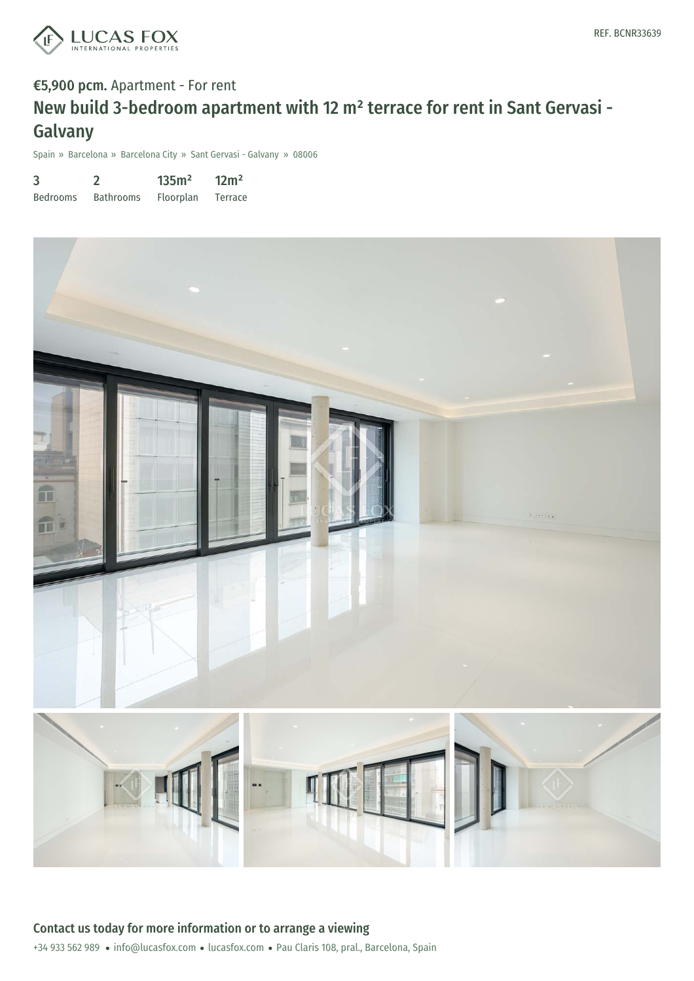

# €5,900 pcm. Apartment - For rent New build 3-bedroom apartment with 12 m² terrace for rent in Sant Gervasi - Galvany

Spain » Barcelona » Barcelona City » Sant Gervasi - Galvany » 08006

| 3               |                  | 135m <sup>2</sup> | 12m <sup>2</sup> |
|-----------------|------------------|-------------------|------------------|
| <b>Bedrooms</b> | <b>Bathrooms</b> | Floorplan         | Terrace          |

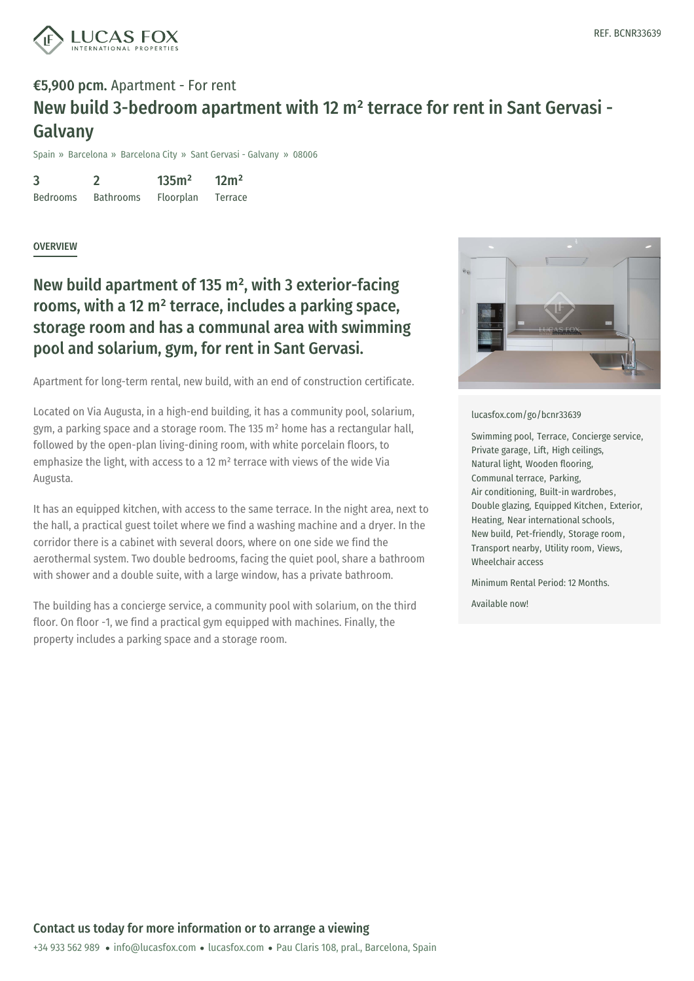

## €5,900 pcm. Apartment - For rent New build 3-bedroom apartment with 12 m² terrace for rent in Sant Gervasi - Galvany

Spain » Barcelona » Barcelona City » Sant Gervasi - Galvany » 08006

3 Bedrooms 2 Bathrooms 135m² Floorplan 12m² Terrace

### **OVERVIEW**

## New build apartment of 135  $m<sup>2</sup>$ , with 3 exterior-facing rooms, with a 12 m² terrace, includes a parking space, storage room and has a communal area with swimming pool and solarium, gym, for rent in Sant Gervasi.

Apartment for long-term rental, new build, with an end of construction certificate.

Located on Via Augusta, in a high-end building, it has a community pool, solarium, gym, a parking space and a storage room. The 135 m² home has a rectangular hall, followed by the open-plan living-dining room, with white porcelain floors, to emphasize the light, with access to a 12 m² terrace with views of the wide Via Augusta.

It has an equipped kitchen, with access to the same terrace. In the night area, next to the hall, a practical guest toilet where we find a washing machine and a dryer. In the corridor there is a cabinet with several doors, where on one side we find the aerothermal system. Two double bedrooms, facing the quiet pool, share a bathroom with shower and a double suite, with a large window, has a private bathroom.

The building has a concierge service, a community pool with solarium, on the third floor. On floor -1, we find a practical gym equipped with machines. Finally, the property includes a parking space and a storage room.



#### [lucasfox.com/go/bcnr33639](https://www.lucasfox.com/go/bcnr33639)

Swimming pool, Terrace, Concierge service, Private garage, Lift, High ceilings, Natural light, Wooden flooring, Communal terrace, Parking, Air conditioning, Built-in wardrobes, Double glazing, Equipped Kitchen, Exterior, Heating, Near international schools, New build, Pet-friendly, Storage room, Transport nearby, Utility room, Views, Wheelchair access

Minimum Rental Period: 12 Months.

Available now!